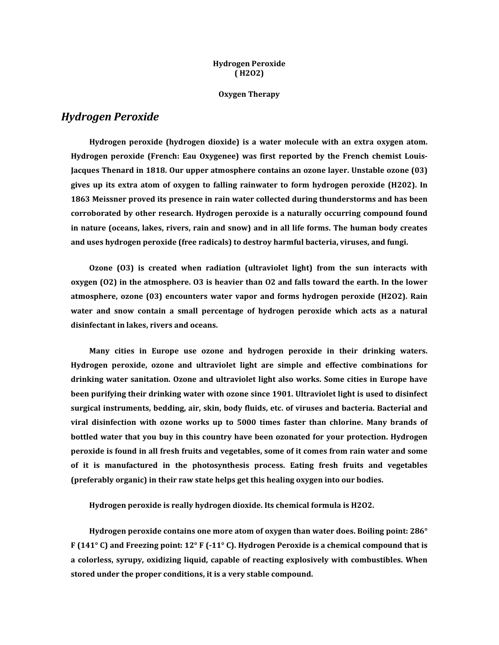#### **Hydrogen Peroxide ( [H2O2\)](http://drinkh2o2.com/#hydrogen-peroxide)**

**Oxygen [Therapy](http://drinkh2o2.com/#oxygen-therapy)**

#### *[Hydrogen](http://drinkh2o2.com/#hydrogen-peroxide) Peroxide*

**Hydrogen peroxide (hydrogen dioxide) is a water molecule with an extra oxygen atom. Hydrogen peroxide (French: Eau Oxygenee) was first reported by the French chemist Louis-Jacques Thenard in 1818. Our upper atmosphere contains an ozone layer. Unstable ozone (03) gives up its extra atom of oxygen to falling rainwater to form hydrogen peroxide (H202). In 1863 Meissner proved its presence in rain water collected during thunderstorms and has been corroborated by other research. Hydrogen peroxide is a naturally occurring compound found in nature (oceans, lakes, rivers, rain and snow) and in all life forms. The human body creates and uses hydrogen peroxide (free radicals) to destroy harmful bacteria, viruses, and fungi.** 

**Ozone (O3) is created when radiation (ultraviolet light) from the sun interacts with oxygen (O2) in the atmosphere. O3 is heavier than O2 and falls toward the earth. In the lower atmosphere, ozone (03) encounters water vapor and forms hydrogen peroxide (H2O2). Rain water and snow contain a small percentage of hydrogen peroxide which acts as a natural disinfectant in lakes, rivers and oceans.** 

**Many cities in Europe use ozone and hydrogen peroxide in their drinking waters. Hydrogen peroxide, ozone and ultraviolet light are simple and effective combinations for drinking water sanitation. Ozone and ultraviolet light also works. Some cities in Europe have been purifying their drinking water with ozone since 1901. Ultraviolet light is used to disinfect surgical instruments, bedding, air, skin, body fluids, etc. of viruses and bacteria. Bacterial and viral disinfection with ozone works up to 5000 times faster than chlorine. Many brands of bottled water that you buy in this country have been ozonated for your protection. Hydrogen peroxide is found in all fresh fruits and vegetables, some of it comes from rain water and some of it is manufactured in the photosynthesis process. Eating fresh fruits and vegetables (preferably organic) in their raw state helps get this healing oxygen into our bodies.** 

**Hydrogen peroxide is really hydrogen dioxide. Its chemical formula is H2O2.** 

**Hydrogen peroxide contains one more atom of oxygen than water does. Boiling point: 286° F (141° C) and Freezing point: 12° F (-11° C). Hydrogen Peroxide is a chemical compound that is a colorless, syrupy, oxidizing liquid, capable of reacting explosively with combustibles. When stored under the proper conditions, it is a very stable compound.**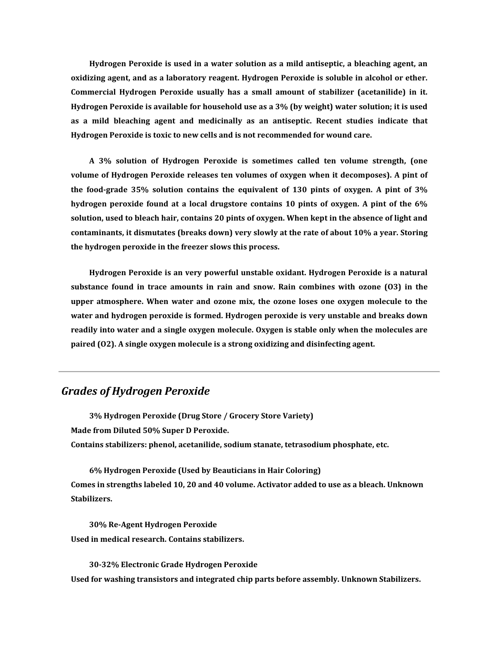**Hydrogen Peroxide is used in a water solution as a mild antiseptic, a bleaching agent, an oxidizing agent, and as a laboratory reagent. Hydrogen Peroxide is soluble in alcohol or ether. Commercial Hydrogen Peroxide usually has a small amount of stabilizer (acetanilide) in it. Hydrogen Peroxide is available for household use as a 3% (by weight) water solution; it is used as a mild bleaching agent and medicinally as an antiseptic. Recent studies indicate that Hydrogen Peroxide is toxic to new cells and is not recommended for wound care.** 

**A 3% solution of Hydrogen Peroxide is sometimes called ten volume strength, (one volume of Hydrogen Peroxide releases ten volumes of oxygen when it decomposes). A pint of the food-grade 35% solution contains the equivalent of 130 pints of oxygen. A pint of 3% hydrogen peroxide found at a local drugstore contains 10 pints of oxygen. A pint of the 6% solution, used to bleach hair, contains 20 pints of oxygen. When kept in the absence of light and contaminants, it dismutates (breaks down) very slowly at the rate of about 10% a year. Storing the hydrogen peroxide in the freezer slows this process.** 

**Hydrogen Peroxide is an very powerful unstable oxidant. Hydrogen Peroxide is a natural substance found in trace amounts in rain and snow. Rain combines with ozone (O3) in the upper atmosphere. When water and ozone mix, the ozone loses one oxygen molecule to the water and hydrogen peroxide is formed. Hydrogen peroxide is very unstable and breaks down readily into water and a single oxygen molecule. Oxygen is stable only when the molecules are paired (O2). A single oxygen molecule is a strong oxidizing and disinfecting agent.** 

# *[Grades of Hydrogen Peroxide](http://drinkh2o2.com/#hydrogen-peroxide-grades)*

**3% Hydrogen Peroxide (Drug Store / Grocery Store Variety) Made from Diluted 50% Super D Peroxide. Contains stabilizers: phenol, acetanilide, sodium stanate, tetrasodium phosphate, etc.** 

**6% Hydrogen Peroxide (Used by Beauticians in Hair Coloring) Comes in strengths labeled 10, 20 and 40 volume. Activator added to use as a bleach. Unknown Stabilizers.** 

**30% Re-Agent Hydrogen Peroxide Used in medical research. Contains stabilizers.** 

**30-32% Electronic Grade Hydrogen Peroxide Used for washing transistors and integrated chip parts before assembly. Unknown Stabilizers.**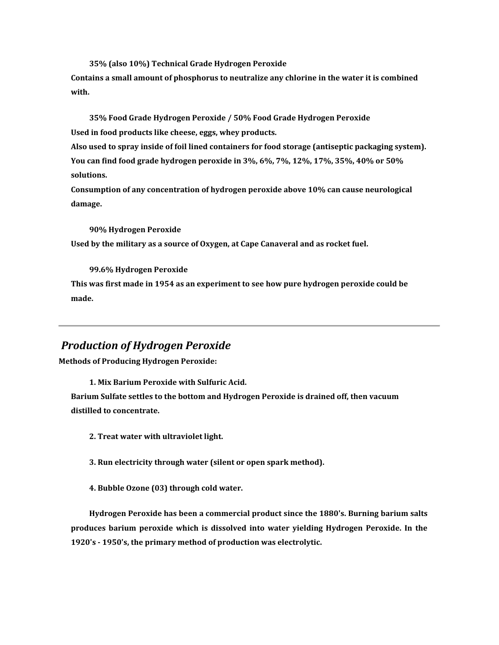**35% (also 10%) Technical Grade Hydrogen Peroxide**

**Contains a small amount of phosphorus to neutralize any chlorine in the water it is combined with.** 

**35% Food Grade Hydrogen Peroxide / 50% Food Grade Hydrogen Peroxide Used in food products like cheese, eggs, whey products.**

**Also used to spray inside of foil lined containers for food storage (antiseptic packaging system). You can find food grade hydrogen peroxide in 3%, 6%, 7%, 12%, 17%, 35%, 40% or 50% solutions.** 

**Consumption of any concentration of hydrogen peroxide above 10% can cause neurological damage.** 

**90% Hydrogen Peroxide Used by the military as a source of Oxygen, at Cape Canaveral and as rocket fuel.** 

**99.6% Hydrogen Peroxide**

**This was first made in 1954 as an experiment to see how pure hydrogen peroxide could be made.** 

# *[Production of Hydrogen Peroxide](http://drinkh2o2.com/#hydrogen-peroxide-production)*

**Methods of Producing Hydrogen Peroxide:** 

**1. Mix Barium Peroxide with Sulfuric Acid.**

**Barium Sulfate settles to the bottom and Hydrogen Peroxide is drained off, then vacuum distilled to concentrate.** 

**2. Treat water with ultraviolet light.** 

**3. Run electricity through water (silent or open spark method).** 

**4. Bubble Ozone (03) through cold water.** 

**Hydrogen Peroxide has been a commercial product since the 1880's. Burning barium salts produces barium peroxide which is dissolved into water yielding Hydrogen Peroxide. In the 1920's - 1950's, the primary method of production was electrolytic.**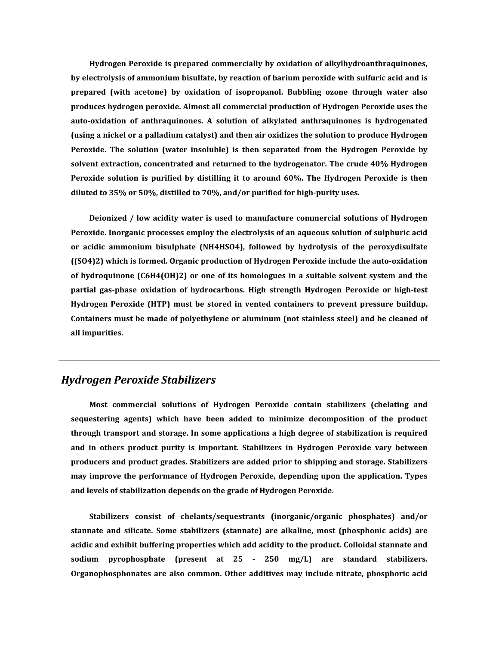**Hydrogen Peroxide is prepared commercially by oxidation of alkylhydroanthraquinones, by electrolysis of ammonium bisulfate, by reaction of barium peroxide with sulfuric acid and is prepared (with acetone) by oxidation of isopropanol. Bubbling ozone through water also produces hydrogen peroxide. Almost all commercial production of Hydrogen Peroxide uses the auto-oxidation of anthraquinones. A solution of alkylated anthraquinones is hydrogenated (using a nickel or a palladium catalyst) and then air oxidizes the solution to produce Hydrogen Peroxide. The solution (water insoluble) is then separated from the Hydrogen Peroxide by solvent extraction, concentrated and returned to the hydrogenator. The crude 40% Hydrogen Peroxide solution is purified by distilling it to around 60%. The Hydrogen Peroxide is then diluted to 35% or 50%, distilled to 70%, and/or purified for high-purity uses.** 

**Deionized / low acidity water is used to manufacture commercial solutions of Hydrogen Peroxide. Inorganic processes employ the electrolysis of an aqueous solution of sulphuric acid or acidic ammonium bisulphate (NH4HSO4), followed by hydrolysis of the peroxydisulfate ((SO4)2) which is formed. Organic production of Hydrogen Peroxide include the auto-oxidation of hydroquinone (C6H4(OH)2) or one of its homologues in a suitable solvent system and the partial gas-phase oxidation of hydrocarbons. High strength Hydrogen Peroxide or high-test Hydrogen Peroxide (HTP) must be stored in vented containers to prevent pressure buildup. Containers must be made of polyethylene or aluminum (not stainless steel) and be cleaned of all impurities.**

# *[Hydrogen Peroxide Stabilizers](http://drinkh2o2.com/#hydrogen-peroxide-stabilizers)*

**Most commercial solutions of Hydrogen Peroxide contain stabilizers (chelating and sequestering agents) which have been added to minimize decomposition of the product through transport and storage. In some applications a high degree of stabilization is required and in others product purity is important. Stabilizers in Hydrogen Peroxide vary between producers and product grades. Stabilizers are added prior to shipping and storage. Stabilizers may improve the performance of Hydrogen Peroxide, depending upon the application. Types and levels of stabilization depends on the grade of Hydrogen Peroxide.** 

**Stabilizers consist of chelants/sequestrants (inorganic/organic phosphates) and/or stannate and silicate. Some stabilizers (stannate) are alkaline, most (phosphonic acids) are acidic and exhibit buffering properties which add acidity to the product. Colloidal stannate and sodium pyrophosphate (present at 25 - 250 mg/L) are standard stabilizers. Organophosphonates are also common. Other additives may include nitrate, phosphoric acid**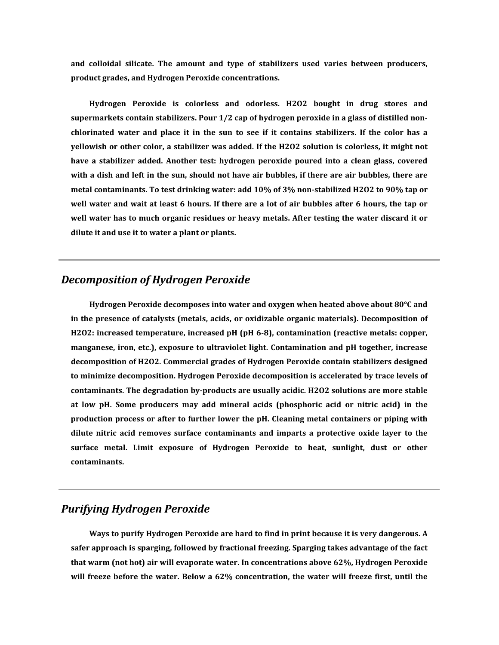**and colloidal silicate. The amount and type of stabilizers used varies between producers, product grades, and Hydrogen Peroxide concentrations.** 

**Hydrogen Peroxide is colorless and odorless. H2O2 bought in drug stores and supermarkets contain stabilizers. Pour 1/2 cap of hydrogen peroxide in a glass of distilled nonchlorinated water and place it in the sun to see if it contains stabilizers. If the color has a yellowish or other color, a stabilizer was added. If the H2O2 solution is colorless, it might not have a stabilizer added. Another test: hydrogen peroxide poured into a clean glass, covered with a dish and left in the sun, should not have air bubbles, if there are air bubbles, there are metal contaminants. To test drinking water: add 10% of 3% non-stabilized H2O2 to 90% tap or well water and wait at least 6 hours. If there are a lot of air bubbles after 6 hours, the tap or well water has to much organic residues or heavy metals. After testing the water discard it or dilute it and use it to water a plant or plants.** 

# *[Decomposition of Hydrogen Peroxide](http://drinkh2o2.com/#hydrogen-peroxide-decomposition)*

**Hydrogen Peroxide decomposes into water and oxygen when heated above about 80°C and in the presence of catalysts (metals, acids, or oxidizable organic materials). Decomposition of H2O2: increased temperature, increased pH (pH 6-8), contamination (reactive metals: copper, manganese, iron, etc.), exposure to ultraviolet light. Contamination and pH together, increase decomposition of H2O2. Commercial grades of Hydrogen Peroxide contain stabilizers designed to minimize decomposition. Hydrogen Peroxide decomposition is accelerated by trace levels of contaminants. The degradation by-products are usually acidic. H2O2 solutions are more stable at low pH. Some producers may add mineral acids (phosphoric acid or nitric acid) in the production process or after to further lower the pH. Cleaning metal containers or piping with dilute nitric acid removes surface contaminants and imparts a protective oxide layer to the surface metal. Limit exposure of Hydrogen Peroxide to heat, sunlight, dust or other contaminants.** 

# *[Purifying Hydrogen Peroxide](http://drinkh2o2.com/#purifying-hydrogen-peroxide)*

**Ways to purify Hydrogen Peroxide are hard to find in print because it is very dangerous. A safer approach is sparging, followed by fractional freezing. Sparging takes advantage of the fact that warm (not hot) air will evaporate water. In concentrations above 62%, Hydrogen Peroxide will freeze before the water. Below a 62% concentration, the water will freeze first, until the**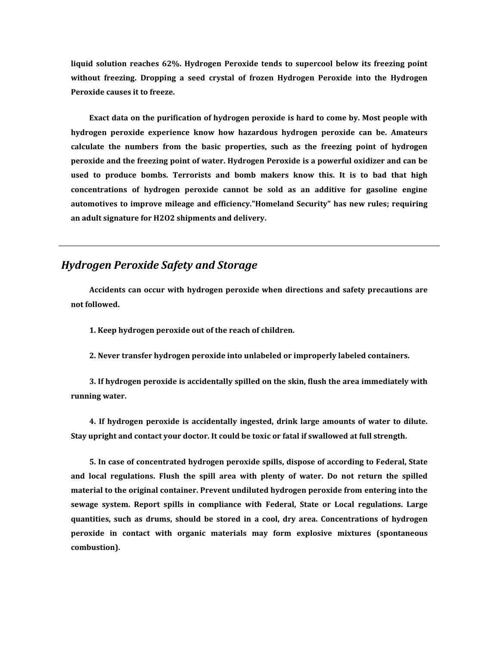**liquid solution reaches 62%. Hydrogen Peroxide tends to supercool below its freezing point without freezing. Dropping a seed crystal of frozen Hydrogen Peroxide into the Hydrogen Peroxide causes it to freeze.** 

**Exact data on the purification of hydrogen peroxide is hard to come by. Most people with hydrogen peroxide experience know how hazardous hydrogen peroxide can be. Amateurs calculate the numbers from the basic properties, such as the freezing point of hydrogen peroxide and the freezing point of water. Hydrogen Peroxide is a powerful oxidizer and can be used to produce bombs. Terrorists and bomb makers know this. It is to bad that high concentrations of hydrogen peroxide cannot be sold as an additive for gasoline engine automotives to improve mileage and efficiency."Homeland Security" has new rules; requiring an adult signature for H2O2 shipments and delivery.**

# *[Hydrogen Peroxide Safety and Storage](http://drinkh2o2.com/#hydrogen-peroxide-safety-storage)*

**Accidents can occur with hydrogen peroxide when directions and safety precautions are not followed.** 

**1. Keep hydrogen peroxide out of the reach of children.**

**2. Never transfer hydrogen peroxide into unlabeled or improperly labeled containers.**

**3. If hydrogen peroxide is accidentally spilled on the skin, flush the area immediately with running water.**

**4. If hydrogen peroxide is accidentally ingested, drink large amounts of water to dilute. Stay upright and contact your doctor. It could be toxic or fatal if swallowed at full strength.**

**5. In case of concentrated hydrogen peroxide spills, dispose of according to Federal, State and local regulations. Flush the spill area with plenty of water. Do not return the spilled material to the original container. Prevent undiluted hydrogen peroxide from entering into the sewage system. Report spills in compliance with Federal, State or Local regulations. Large quantities, such as drums, should be stored in a cool, dry area. Concentrations of hydrogen peroxide in contact with organic materials may form explosive mixtures (spontaneous combustion).**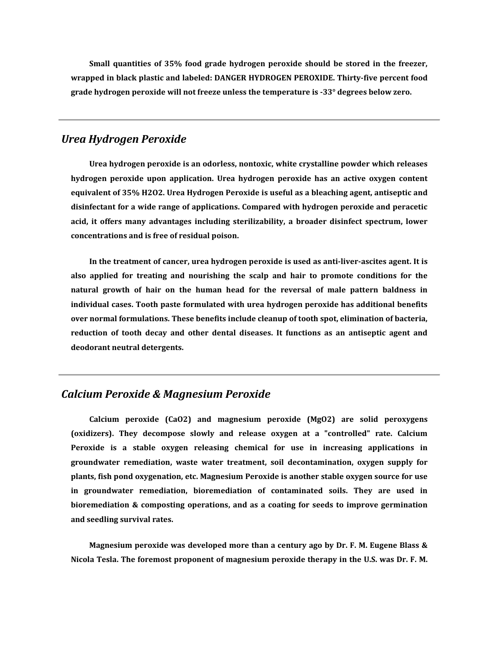**Small quantities of 35% food grade hydrogen peroxide should be stored in the freezer, wrapped in black plastic and labeled: DANGER HYDROGEN PEROXIDE. Thirty-five percent food grade hydrogen peroxide will not freeze unless the temperature is -33° degrees below zero.**

#### *[Urea Hydrogen Peroxide](http://drinkh2o2.com/#urea-hydrogen-peroxide)*

**Urea hydrogen peroxide is an odorless, nontoxic, white crystalline powder which releases hydrogen peroxide upon application. Urea hydrogen peroxide has an active oxygen content equivalent of 35% H2O2. Urea Hydrogen Peroxide is useful as a bleaching agent, antiseptic and disinfectant for a wide range of applications. Compared with hydrogen peroxide and peracetic acid, it offers many advantages including sterilizability, a broader disinfect spectrum, lower concentrations and is free of residual poison.** 

**In the treatment of cancer, urea hydrogen peroxide is used as anti-liver-ascites agent. It is also applied for treating and nourishing the scalp and hair to promote conditions for the natural growth of hair on the human head for the reversal of male pattern baldness in individual cases. Tooth paste formulated with urea hydrogen peroxide has additional benefits over normal formulations. These benefits include cleanup of tooth spot, elimination of bacteria, reduction of tooth decay and other dental diseases. It functions as an antiseptic agent and deodorant neutral detergents.** 

#### *[Calcium Peroxide & Magnesium Peroxide](http://drinkh2o2.com/#calcium-peroxide_magnesium-peroxide)*

**Calcium peroxide (CaO2) and magnesium peroxide (MgO2) are solid peroxygens (oxidizers). They decompose slowly and release oxygen at a "controlled" rate. Calcium Peroxide is a stable oxygen releasing chemical for use in increasing applications in groundwater remediation, waste water treatment, soil decontamination, oxygen supply for plants, fish pond oxygenation, etc. Magnesium Peroxide is another stable oxygen source for use in groundwater remediation, bioremediation of contaminated soils. They are used in bioremediation & composting operations, and as a coating for seeds to improve germination and seedling survival rates.** 

**Magnesium peroxide was developed more than a century ago by Dr. F. M. Eugene Blass & Nicola Tesla. The foremost proponent of magnesium peroxide therapy in the U.S. was Dr. F. M.**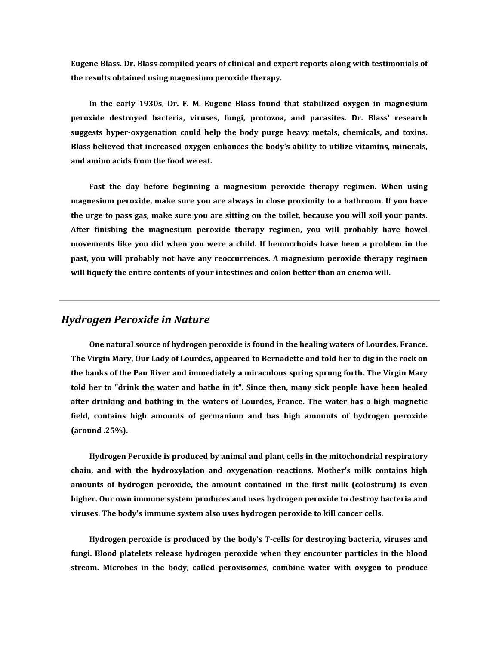**Eugene Blass. Dr. Blass compiled years of clinical and expert reports along with testimonials of the results obtained using magnesium peroxide therapy.** 

**In the early 1930s, Dr. F. M. Eugene Blass found that stabilized oxygen in magnesium peroxide destroyed bacteria, viruses, fungi, protozoa, and parasites. Dr. Blass' research suggests hyper-oxygenation could help the body purge heavy metals, chemicals, and toxins. Blass believed that increased oxygen enhances the body's ability to utilize vitamins, minerals, and amino acids from the food we eat.** 

**Fast the day before beginning a magnesium peroxide therapy regimen. When using magnesium peroxide, make sure you are always in close proximity to a bathroom. If you have the urge to pass gas, make sure you are sitting on the toilet, because you will soil your pants. After finishing the magnesium peroxide therapy regimen, you will probably have bowel movements like you did when you were a child. If hemorrhoids have been a problem in the past, you will probably not have any reoccurrences. A magnesium peroxide therapy regimen will liquefy the entire contents of your intestines and colon better than an enema will.** 

### *[Hydrogen Peroxide in Nature](http://drinkh2o2.com/#hydrogen-peroxide-in-nature)*

**One natural source of hydrogen peroxide is found in the healing waters of Lourdes, France. The Virgin Mary, Our Lady of Lourdes, appeared to Bernadette and told her to dig in the rock on the banks of the Pau River and immediately a miraculous spring sprung forth. The Virgin Mary told her to "drink the water and bathe in it". Since then, many sick people have been healed after drinking and bathing in the waters of Lourdes, France. The water has a high magnetic field, contains high amounts of germanium and has high amounts of hydrogen peroxide (around .25%).** 

**Hydrogen Peroxide is produced by animal and plant cells in the mitochondrial respiratory chain, and with the hydroxylation and oxygenation reactions. Mother's milk contains high amounts of hydrogen peroxide, the amount contained in the first milk (colostrum) is even higher. Our own immune system produces and uses hydrogen peroxide to destroy bacteria and viruses. The body's immune system also uses hydrogen peroxide to kill cancer cells.** 

**Hydrogen peroxide is produced by the body's T-cells for destroying bacteria, viruses and fungi. Blood platelets release hydrogen peroxide when they encounter particles in the blood stream. Microbes in the body, called peroxisomes, combine water with oxygen to produce**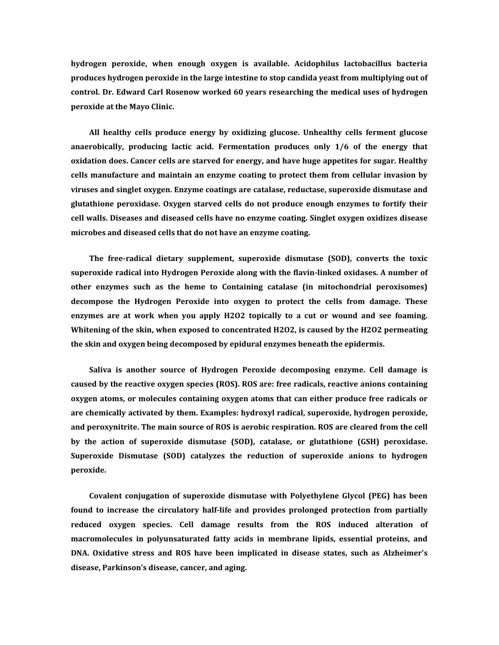**hydrogen peroxide, when enough oxygen is available. Acidophilus lactobacillus bacteria produces hydrogen peroxide in the large intestine to stop candida yeast from multiplying out of control. Dr. Edward Carl Rosenow worked 60 years researching the medical uses of hydrogen peroxide at the Mayo Clinic.** 

**All healthy cells produce energy by oxidizing glucose. Unhealthy cells ferment glucose anaerobically, producing lactic acid. Fermentation produces only 1/6 of the energy that oxidation does. Cancer cells are starved for energy, and have huge appetites for sugar. Healthy cells manufacture and maintain an enzyme coating to protect them from cellular invasion by viruses and singlet oxygen. Enzyme coatings are catalase, reductase, superoxide dismutase and glutathione peroxidase. Oxygen starved cells do not produce enough enzymes to fortify their cell walls. Diseases and diseased cells have no enzyme coating. Singlet oxygen oxidizes disease microbes and diseased cells that do not have an enzyme coating.** 

**The free-radical dietary supplement, superoxide dismutase (SOD), converts the toxic superoxide radical into Hydrogen Peroxide along with the flavin-linked oxidases. A number of other enzymes such as the heme to Containing catalase (in mitochondrial peroxisomes) decompose the Hydrogen Peroxide into oxygen to protect the cells from damage. These enzymes are at work when you apply H2O2 topically to a cut or wound and see foaming. Whitening of the skin, when exposed to concentrated H2O2, is caused by the H2O2 permeating the skin and oxygen being decomposed by epidural enzymes beneath the epidermis.** 

**Saliva is another source of Hydrogen Peroxide decomposing enzyme. Cell damage is caused by the reactive oxygen species (ROS). ROS are: free radicals, reactive anions containing oxygen atoms, or molecules containing oxygen atoms that can either produce free radicals or are chemically activated by them. Examples: hydroxyl radical, superoxide, hydrogen peroxide, and peroxynitrite. The main source of ROS is aerobic respiration. ROS are cleared from the cell by the action of superoxide dismutase (SOD), catalase, or glutathione (GSH) peroxidase. Superoxide Dismutase (SOD) catalyzes the reduction of superoxide anions to hydrogen peroxide.** 

**Covalent conjugation of superoxide dismutase with Polyethylene Glycol (PEG) has been found to increase the circulatory half-life and provides prolonged protection from partially reduced oxygen species. Cell damage results from the ROS induced alteration of macromolecules in polyunsaturated fatty acids in membrane lipids, essential proteins, and DNA. Oxidative stress and ROS have been implicated in disease states, such as Alzheimer's disease, Parkinson's disease, cancer, and aging.**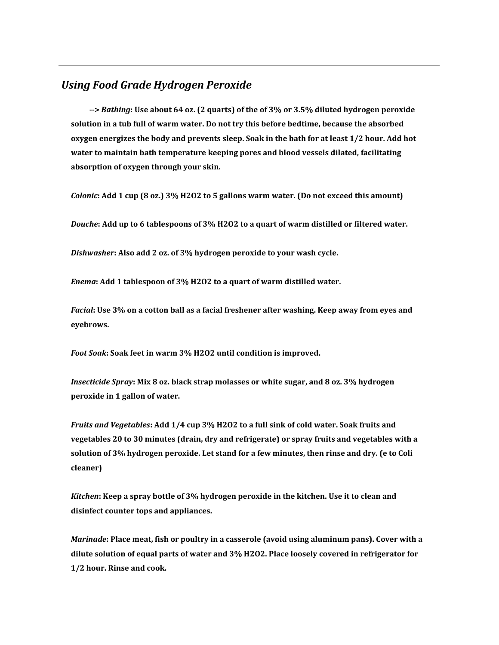# *[Using Food Grade Hydrogen Peroxide](http://drinkh2o2.com/#using-food-grade-hydrogen-peroxide)*

**-->** *Bathing***: Use about 64 oz. (2 quarts) of the of 3% or 3.5% diluted hydrogen peroxide solution in a tub full of warm water. Do not try this before bedtime, because the absorbed oxygen energizes the body and prevents sleep. Soak in the bath for at least 1/2 hour. Add hot water to maintain bath temperature keeping pores and blood vessels dilated, facilitating absorption of oxygen through your skin.**

*Colonic***: Add 1 cup (8 oz.) 3% H2O2 to 5 gallons warm water. (Do not exceed this amount)**

*Douche***: Add up to 6 tablespoons of 3% H2O2 to a quart of warm distilled or filtered water.**

*Dishwasher***: Also add 2 oz. of 3% hydrogen peroxide to your wash cycle.**

*Enema***: Add 1 tablespoon of 3% H2O2 to a quart of warm distilled water.**

*Facial***: Use 3% on a cotton ball as a facial freshener after washing. Keep away from eyes and eyebrows.**

*Foot Soak***: Soak feet in warm 3% H2O2 until condition is improved.**

*Insecticide Spray***: Mix 8 oz. black strap molasses or white sugar, and 8 oz. 3% hydrogen peroxide in 1 gallon of water.**

*Fruits and Vegetables***: Add 1/4 cup 3% H2O2 to a full sink of cold water. Soak fruits and vegetables 20 to 30 minutes (drain, dry and refrigerate) or spray fruits and vegetables with a solution of 3% hydrogen peroxide. Let stand for a few minutes, then rinse and dry. (e to Coli cleaner)**

*Kitchen***: Keep a spray bottle of 3% hydrogen peroxide in the kitchen. Use it to clean and disinfect counter tops and appliances.**

*Marinade***: Place meat, fish or poultry in a casserole (avoid using aluminum pans). Cover with a dilute solution of equal parts of water and 3% H2O2. Place loosely covered in refrigerator for 1/2 hour. Rinse and cook.**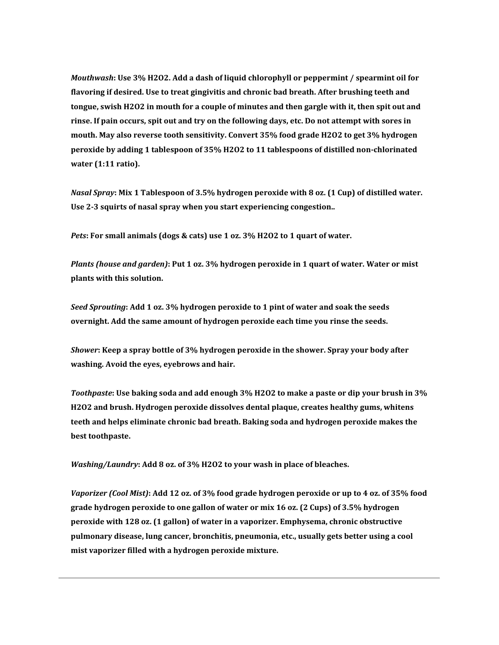*Mouthwash***: Use 3% H2O2. Add a dash of liquid chlorophyll or peppermint / spearmint oil for flavoring if desired. Use to treat gingivitis and chronic bad breath. After brushing teeth and tongue, swish H2O2 in mouth for a couple of minutes and then gargle with it, then spit out and rinse. If pain occurs, spit out and try on the following days, etc. Do not attempt with sores in mouth. May also reverse tooth sensitivity. Convert 35% food grade H2O2 to get 3% hydrogen peroxide by adding 1 tablespoon of 35% H2O2 to 11 tablespoons of distilled non-chlorinated water (1:11 ratio).**

*Nasal Spray***: Mix 1 Tablespoon of 3.5% hydrogen peroxide with 8 oz. (1 Cup) of distilled water. Use 2-3 squirts of nasal spray when you start experiencing congestion..**

*Pets***: For small animals (dogs & cats) use 1 oz. 3% H2O2 to 1 quart of water.**

*Plants (house and garden)***: Put 1 oz. 3% hydrogen peroxide in 1 quart of water. Water or mist plants with this solution.**

*Seed Sprouting***: Add 1 oz. 3% hydrogen peroxide to 1 pint of water and soak the seeds overnight. Add the same amount of hydrogen peroxide each time you rinse the seeds.**

*Shower***: Keep a spray bottle of 3% hydrogen peroxide in the shower. Spray your body after washing. Avoid the eyes, eyebrows and hair.**

*Toothpaste***: Use baking soda and add enough 3% H2O2 to make a paste or dip your brush in 3% H2O2 and brush. Hydrogen peroxide dissolves dental plaque, creates healthy gums, whitens teeth and helps eliminate chronic bad breath. Baking soda and hydrogen peroxide makes the best toothpaste.**

*Washing/Laundry***: Add 8 oz. of 3% H2O2 to your wash in place of bleaches.**

*Vaporizer (Cool Mist)***: Add 12 oz. of 3% food grade hydrogen peroxide or up to 4 oz. of 35% food grade hydrogen peroxide to one gallon of water or mix 16 oz. (2 Cups) of 3.5% hydrogen peroxide with 128 oz. (1 gallon) of water in a vaporizer. Emphysema, chronic obstructive pulmonary disease, lung cancer, bronchitis, pneumonia, etc., usually gets better using a cool mist vaporizer filled with a hydrogen peroxide mixture.**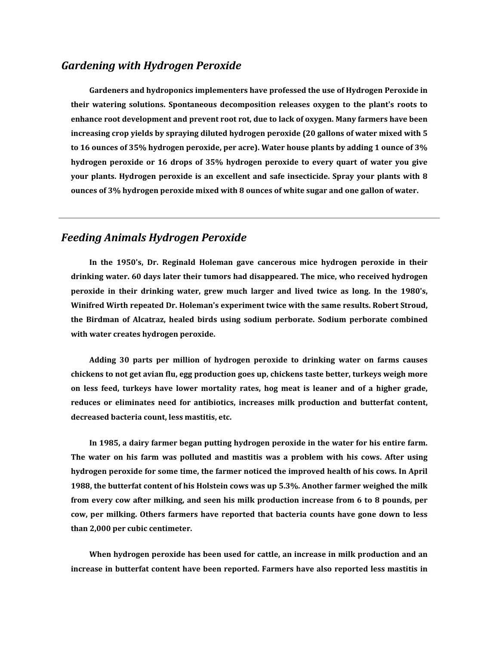#### *[Gardening with Hydrogen Peroxide](http://drinkh2o2.com/#hydrogen-peroxide-gardening)*

**Gardeners and hydroponics implementers have professed the use of Hydrogen Peroxide in their watering solutions. Spontaneous decomposition releases oxygen to the plant's roots to enhance root development and prevent root rot, due to lack of oxygen. Many farmers have been increasing crop yields by spraying diluted hydrogen peroxide (20 gallons of water mixed with 5 to 16 ounces of 35% hydrogen peroxide, per acre). Water house plants by adding 1 ounce of 3% hydrogen peroxide or 16 drops of 35% hydrogen peroxide to every quart of water you give your plants. Hydrogen peroxide is an excellent and safe insecticide. Spray your plants with 8 ounces of 3% hydrogen peroxide mixed with 8 ounces of white sugar and one gallon of water.** 

### *[Feeding Animals Hydrogen Peroxide](http://drinkh2o2.com/#feeding-animals-hydrogen-peroxide)*

**In the 1950's, Dr. Reginald Holeman gave cancerous mice hydrogen peroxide in their drinking water. 60 days later their tumors had disappeared. The mice, who received hydrogen peroxide in their drinking water, grew much larger and lived twice as long. In the 1980's, Winifred Wirth repeated Dr. Holeman's experiment twice with the same results. Robert Stroud, the Birdman of Alcatraz, healed birds using sodium perborate. Sodium perborate combined with water creates hydrogen peroxide.** 

**Adding 30 parts per million of hydrogen peroxide to drinking water on farms causes chickens to not get avian flu, egg production goes up, chickens taste better, turkeys weigh more on less feed, turkeys have lower mortality rates, hog meat is leaner and of a higher grade, reduces or eliminates need for antibiotics, increases milk production and butterfat content, decreased bacteria count, less mastitis, etc.** 

**In 1985, a dairy farmer began putting hydrogen peroxide in the water for his entire farm. The water on his farm was polluted and mastitis was a problem with his cows. After using hydrogen peroxide for some time, the farmer noticed the improved health of his cows. In April 1988, the butterfat content of his Holstein cows was up 5.3%. Another farmer weighed the milk from every cow after milking, and seen his milk production increase from 6 to 8 pounds, per cow, per milking. Others farmers have reported that bacteria counts have gone down to less than 2,000 per cubic centimeter.** 

**When hydrogen peroxide has been used for cattle, an increase in milk production and an increase in butterfat content have been reported. Farmers have also reported less mastitis in**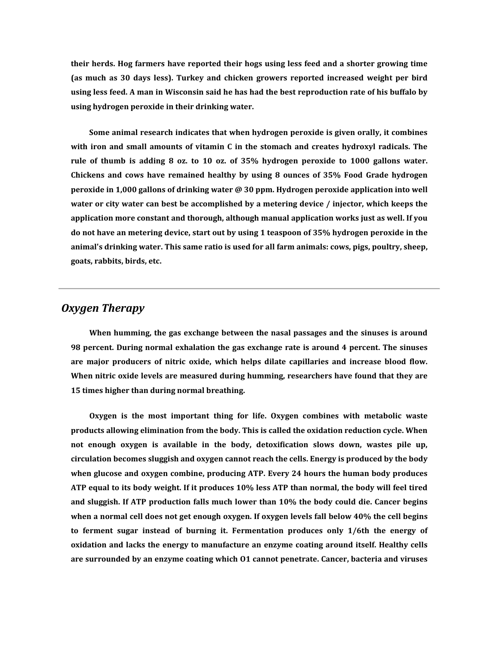**their herds. Hog farmers have reported their hogs using less feed and a shorter growing time (as much as 30 days less). Turkey and chicken growers reported increased weight per bird using less feed. A man in Wisconsin said he has had the best reproduction rate of his buffalo by using hydrogen peroxide in their drinking water.** 

**Some animal research indicates that when hydrogen peroxide is given orally, it combines with iron and small amounts of vitamin C in the stomach and creates hydroxyl radicals. The rule of thumb is adding 8 oz. to 10 oz. of 35% hydrogen peroxide to 1000 gallons water. Chickens and cows have remained healthy by using 8 ounces of 35% Food Grade hydrogen peroxide in 1,000 gallons of drinking water @ 30 ppm. Hydrogen peroxide application into well water or city water can best be accomplished by a metering device / injector, which keeps the application more constant and thorough, although manual application works just as well. If you do not have an metering device, start out by using 1 teaspoon of 35% hydrogen peroxide in the animal's drinking water. This same ratio is used for all farm animals: cows, pigs, poultry, sheep, goats, rabbits, birds, etc.** 

#### *[Oxygen Therapy](http://drinkh2o2.com/#oxygen-therapy)*

**When humming, the gas exchange between the nasal passages and the sinuses is around 98 percent. During normal exhalation the gas exchange rate is around 4 percent. The sinuses are major producers of nitric oxide, which helps dilate capillaries and increase blood flow. When nitric oxide levels are measured during humming, researchers have found that they are 15 times higher than during normal breathing.** 

**Oxygen is the most important thing for life. Oxygen combines with metabolic waste products allowing elimination from the body. This is called the oxidation reduction cycle. When not enough oxygen is available in the body, detoxification slows down, wastes pile up, circulation becomes sluggish and oxygen cannot reach the cells. Energy is produced by the body when glucose and oxygen combine, producing ATP. Every 24 hours the human body produces ATP equal to its body weight. If it produces 10% less ATP than normal, the body will feel tired and sluggish. If ATP production falls much lower than 10% the body could die. Cancer begins when a normal cell does not get enough oxygen. If oxygen levels fall below 40% the cell begins to ferment sugar instead of burning it. Fermentation produces only 1/6th the energy of oxidation and lacks the energy to manufacture an enzyme coating around itself. Healthy cells are surrounded by an enzyme coating which O1 cannot penetrate. Cancer, bacteria and viruses**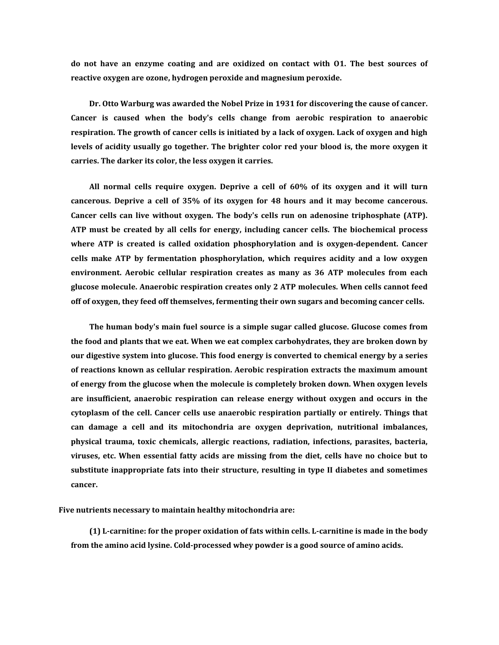**do not have an enzyme coating and are oxidized on contact with O1. The best sources of reactive oxygen are ozone, hydrogen peroxide and magnesium peroxide.** 

**Dr. Otto Warburg was awarded the Nobel Prize in 1931 for discovering the cause of cancer. Cancer is caused when the body's cells change from aerobic respiration to anaerobic respiration. The growth of cancer cells is initiated by a lack of oxygen. Lack of oxygen and high levels of acidity usually go together. The brighter color red your blood is, the more oxygen it carries. The darker its color, the less oxygen it carries.** 

**All normal cells require oxygen. Deprive a cell of 60% of its oxygen and it will turn cancerous. Deprive a cell of 35% of its oxygen for 48 hours and it may become cancerous. Cancer cells can live without oxygen. The body's cells run on adenosine triphosphate (ATP). ATP must be created by all cells for energy, including cancer cells. The biochemical process where ATP is created is called oxidation phosphorylation and is oxygen-dependent. Cancer cells make ATP by fermentation phosphorylation, which requires acidity and a low oxygen environment. Aerobic cellular respiration creates as many as 36 ATP molecules from each glucose molecule. Anaerobic respiration creates only 2 ATP molecules. When cells cannot feed off of oxygen, they feed off themselves, fermenting their own sugars and becoming cancer cells.** 

**The human body's main fuel source is a simple sugar called glucose. Glucose comes from the food and plants that we eat. When we eat complex carbohydrates, they are broken down by our digestive system into glucose. This food energy is converted to chemical energy by a series of reactions known as cellular respiration. Aerobic respiration extracts the maximum amount of energy from the glucose when the molecule is completely broken down. When oxygen levels are insufficient, anaerobic respiration can release energy without oxygen and occurs in the cytoplasm of the cell. Cancer cells use anaerobic respiration partially or entirely. Things that can damage a cell and its mitochondria are oxygen deprivation, nutritional imbalances, physical trauma, toxic chemicals, allergic reactions, radiation, infections, parasites, bacteria, viruses, etc. When essential fatty acids are missing from the diet, cells have no choice but to substitute inappropriate fats into their structure, resulting in type II diabetes and sometimes cancer.** 

**Five nutrients necessary to maintain healthy mitochondria are:** 

**(1) L-carnitine: for the proper oxidation of fats within cells. L-carnitine is made in the body from the amino acid lysine. Cold-processed whey powder is a good source of amino acids.**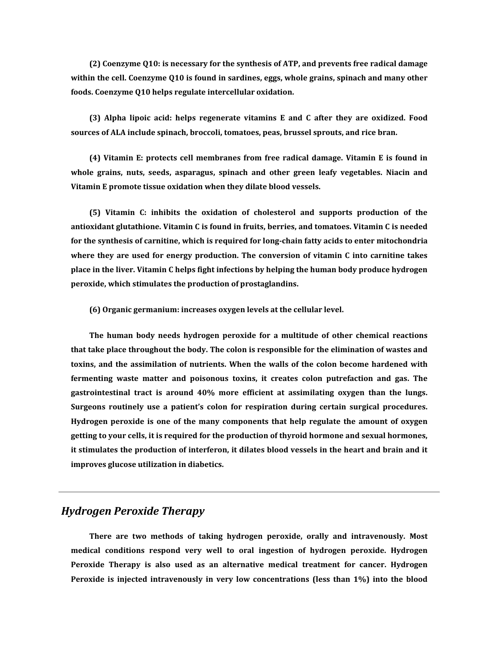**(2) Coenzyme Q10: is necessary for the synthesis of ATP, and prevents free radical damage within the cell. Coenzyme Q10 is found in sardines, eggs, whole grains, spinach and many other foods. Coenzyme Q10 helps regulate intercellular oxidation.**

**(3) Alpha lipoic acid: helps regenerate vitamins E and C after they are oxidized. Food sources of ALA include spinach, broccoli, tomatoes, peas, brussel sprouts, and rice bran.**

**(4) Vitamin E: protects cell membranes from free radical damage. Vitamin E is found in whole grains, nuts, seeds, asparagus, spinach and other green leafy vegetables. Niacin and Vitamin E promote tissue oxidation when they dilate blood vessels.**

**(5) Vitamin C: inhibits the oxidation of cholesterol and supports production of the antioxidant glutathione. Vitamin C is found in fruits, berries, and tomatoes. Vitamin C is needed for the synthesis of carnitine, which is required for long-chain fatty acids to enter mitochondria where they are used for energy production. The conversion of vitamin C into carnitine takes place in the liver. Vitamin C helps fight infections by helping the human body produce hydrogen peroxide, which stimulates the production of prostaglandins.**

**(6) Organic germanium: increases oxygen levels at the cellular level.**

**The human body needs hydrogen peroxide for a multitude of other chemical reactions that take place throughout the body. The colon is responsible for the elimination of wastes and toxins, and the assimilation of nutrients. When the walls of the colon become hardened with fermenting waste matter and poisonous toxins, it creates colon putrefaction and gas. The gastrointestinal tract is around 40% more efficient at assimilating oxygen than the lungs. Surgeons routinely use a patient's colon for respiration during certain surgical procedures. Hydrogen peroxide is one of the many components that help regulate the amount of oxygen getting to your cells, it is required for the production of thyroid hormone and sexual hormones, it stimulates the production of interferon, it dilates blood vessels in the heart and brain and it improves glucose utilization in diabetics.**

### *[Hydrogen Peroxide Therapy](http://drinkh2o2.com/#hydrogen-peroxide-therapy)*

**There are two methods of taking hydrogen peroxide, orally and intravenously. Most medical conditions respond very well to oral ingestion of hydrogen peroxide. Hydrogen Peroxide Therapy is also used as an alternative medical treatment for cancer. Hydrogen Peroxide is injected intravenously in very low concentrations (less than 1%) into the blood**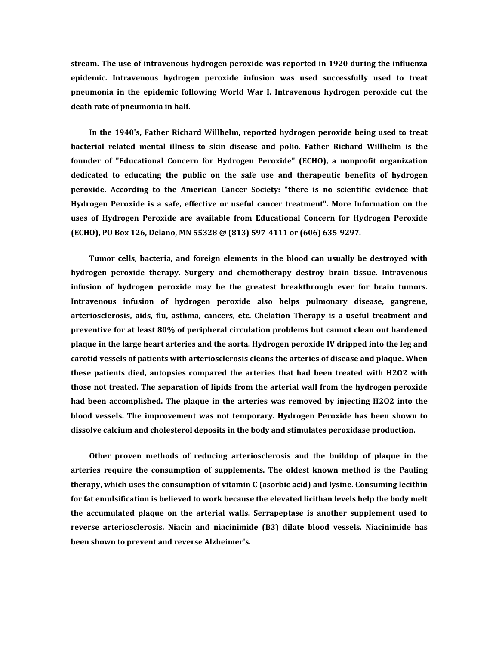**stream. The use of intravenous hydrogen peroxide was reported in 1920 during the influenza epidemic. Intravenous hydrogen peroxide infusion was used successfully used to treat pneumonia in the epidemic following World War I. Intravenous hydrogen peroxide cut the death rate of pneumonia in half.** 

**In the 1940's, Father Richard Willhelm, reported hydrogen peroxide being used to treat bacterial related mental illness to skin disease and polio. Father Richard Willhelm is the founder of "Educational Concern for Hydrogen Peroxide" (ECHO), a nonprofit organization dedicated to educating the public on the safe use and therapeutic benefits of hydrogen peroxide. According to the American Cancer Society: "there is no scientific evidence that Hydrogen Peroxide is a safe, effective or useful cancer treatment". More Information on the uses of Hydrogen Peroxide are available from Educational Concern for Hydrogen Peroxide (ECHO), PO Box 126, Delano, MN 55328 @ (813) 597-4111 or (606) 635-9297.** 

**Tumor cells, bacteria, and foreign elements in the blood can usually be destroyed with hydrogen peroxide therapy. Surgery and chemotherapy destroy brain tissue. Intravenous infusion of hydrogen peroxide may be the greatest breakthrough ever for brain tumors. Intravenous infusion of hydrogen peroxide also helps pulmonary disease, gangrene, arteriosclerosis, aids, flu, asthma, cancers, etc. Chelation Therapy is a useful treatment and preventive for at least 80% of peripheral circulation problems but cannot clean out hardened plaque in the large heart arteries and the aorta. Hydrogen peroxide IV dripped into the leg and carotid vessels of patients with arteriosclerosis cleans the arteries of disease and plaque. When these patients died, autopsies compared the arteries that had been treated with H2O2 with those not treated. The separation of lipids from the arterial wall from the hydrogen peroxide had been accomplished. The plaque in the arteries was removed by injecting H2O2 into the blood vessels. The improvement was not temporary. Hydrogen Peroxide has been shown to dissolve calcium and cholesterol deposits in the body and stimulates peroxidase production.** 

**Other proven methods of reducing arteriosclerosis and the buildup of plaque in the arteries require the consumption of supplements. The oldest known method is the Pauling therapy, which uses the consumption of vitamin C (asorbic acid) and lysine. Consuming lecithin for fat emulsification is believed to work because the elevated licithan levels help the body melt the accumulated plaque on the arterial walls. Serrapeptase is another supplement used to reverse arteriosclerosis. Niacin and niacinimide (B3) dilate blood vessels. Niacinimide has been shown to prevent and reverse Alzheimer's.**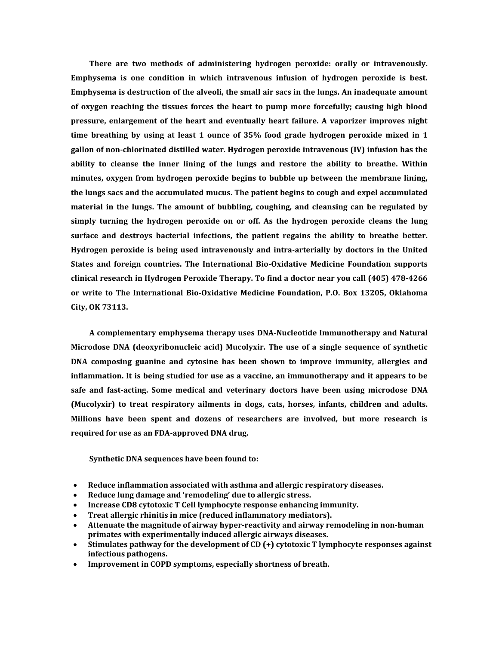**There are two methods of administering hydrogen peroxide: orally or intravenously. Emphysema is one condition in which intravenous infusion of hydrogen peroxide is best. Emphysema is destruction of the alveoli, the small air sacs in the lungs. An inadequate amount of oxygen reaching the tissues forces the heart to pump more forcefully; causing high blood pressure, enlargement of the heart and eventually heart failure. A vaporizer improves night time breathing by using at least 1 ounce of 35% food grade hydrogen peroxide mixed in 1 gallon of non-chlorinated distilled water. Hydrogen peroxide intravenous (IV) infusion has the ability to cleanse the inner lining of the lungs and restore the ability to breathe. Within minutes, oxygen from hydrogen peroxide begins to bubble up between the membrane lining, the lungs sacs and the accumulated mucus. The patient begins to cough and expel accumulated material in the lungs. The amount of bubbling, coughing, and cleansing can be regulated by simply turning the hydrogen peroxide on or off. As the hydrogen peroxide cleans the lung surface and destroys bacterial infections, the patient regains the ability to breathe better. Hydrogen peroxide is being used intravenously and intra-arterially by doctors in the United States and foreign countries. The International Bio-Oxidative Medicine Foundation supports clinical research in Hydrogen Peroxide Therapy. To find a doctor near you call (405) 478-4266 or write to The International Bio-Oxidative Medicine Foundation, P.O. Box 13205, Oklahoma City, OK 73113.** 

**A complementary emphysema therapy uses DNA-Nucleotide Immunotherapy and Natural Microdose DNA (deoxyribonucleic acid) Mucolyxir. The use of a single sequence of synthetic DNA composing guanine and cytosine has been shown to improve immunity, allergies and inflammation. It is being studied for use as a vaccine, an immunotherapy and it appears to be safe and fast-acting. Some medical and veterinary doctors have been using microdose DNA (Mucolyxir) to treat respiratory ailments in dogs, cats, horses, infants, children and adults. Millions have been spent and dozens of researchers are involved, but more research is required for use as an FDA-approved DNA drug.** 

**Synthetic DNA sequences have been found to:** 

- **Reduce inflammation associated with asthma and allergic respiratory diseases.**
- **Reduce lung damage and 'remodeling' due to allergic stress.**
- **Increase CD8 cytotoxic T Cell lymphocyte response enhancing immunity.**
- **Treat allergic rhinitis in mice (reduced inflammatory mediators).**
- **Attenuate the magnitude of airway hyper-reactivity and airway remodeling in non-human primates with experimentally induced allergic airways diseases.**
- **Stimulates pathway for the development of CD (+) cytotoxic T lymphocyte responses against infectious pathogens.**
- **Improvement in COPD symptoms, especially shortness of breath.**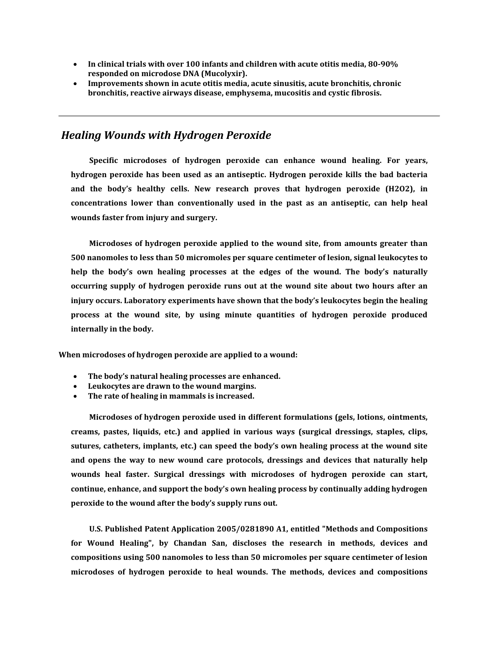- **In clinical trials with over 100 infants and children with acute otitis media, 80-90% responded on microdose DNA (Mucolyxir).**
- **Improvements shown in acute otitis media, acute sinusitis, acute bronchitis, chronic bronchitis, reactive airways disease, emphysema, mucositis and cystic fibrosis.**

# *[Healing Wounds with Hydrogen Peroxide](http://drinkh2o2.com/#healing-wounds-with-hydrogen-peroxide)*

**Specific microdoses of hydrogen peroxide can enhance wound healing. For years, hydrogen peroxide has been used as an antiseptic. Hydrogen peroxide kills the bad bacteria and the body's healthy cells. New research proves that hydrogen peroxide (H2O2), in concentrations lower than conventionally used in the past as an antiseptic, can help heal wounds faster from injury and surgery.** 

**Microdoses of hydrogen peroxide applied to the wound site, from amounts greater than 500 nanomoles to less than 50 micromoles per square centimeter of lesion, signal leukocytes to help the body's own healing processes at the edges of the wound. The body's naturally occurring supply of hydrogen peroxide runs out at the wound site about two hours after an injury occurs. Laboratory experiments have shown that the body's leukocytes begin the healing process at the wound site, by using minute quantities of hydrogen peroxide produced internally in the body.** 

**When microdoses of hydrogen peroxide are applied to a wound:** 

- **The body's natural healing processes are enhanced.**
- **Leukocytes are drawn to the wound margins.**
- **The rate of healing in mammals is increased.**

**Microdoses of hydrogen peroxide used in different formulations (gels, lotions, ointments, creams, pastes, liquids, etc.) and applied in various ways (surgical dressings, staples, clips, sutures, catheters, implants, etc.) can speed the body's own healing process at the wound site and opens the way to new wound care protocols, dressings and devices that naturally help wounds heal faster. Surgical dressings with microdoses of hydrogen peroxide can start, continue, enhance, and support the body's own healing process by continually adding hydrogen peroxide to the wound after the body's supply runs out.** 

**U.S. Published Patent Application [2005/0281890 A1,](http://drinkh2o2.com/images/methods_and_compositions_for_wound_healing.pdf) entitled ["Methods and Compositions](http://drinkh2o2.com/images/methods_and_compositions_for_wound_healing.pdf)  [for Wound Healing"](http://drinkh2o2.com/images/methods_and_compositions_for_wound_healing.pdf), by Chandan San, discloses the research in methods, devices and compositions using 500 nanomoles to less than 50 micromoles per square centimeter of lesion microdoses of hydrogen peroxide to heal wounds. The methods, devices and compositions**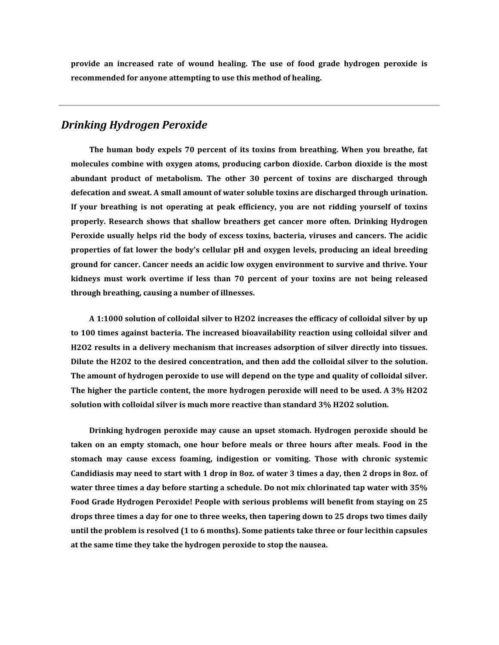**provide an increased rate of wound healing. The use of food grade hydrogen peroxide is recommended for anyone attempting to use this method of healing.** 

#### *[Drinking Hydrogen Peroxide](http://drinkh2o2.com/#drinking-hydrogen-peroxide)*

**The human body expels 70 percent of its toxins from breathing. When you breathe, fat molecules combine with oxygen atoms, producing carbon dioxide. Carbon dioxide is the most abundant product of metabolism. The other 30 percent of toxins are discharged through defecation and sweat. A small amount of water soluble toxins are discharged through urination. If your breathing is not operating at peak efficiency, you are not ridding yourself of toxins properly. Research shows that shallow breathers get cancer more often. Drinking Hydrogen Peroxide usually helps rid the body of excess toxins, bacteria, viruses and cancers. The acidic properties of fat lower the body's cellular pH and oxygen levels, producing an ideal breeding ground for cancer. Cancer needs an acidic low oxygen environment to survive and thrive. Your kidneys must work overtime if less than 70 percent of your toxins are not being released through breathing, causing a number of illnesses.** 

**A 1:1000 solution of colloidal silver to H2O2 increases the efficacy of colloidal silver by up to 100 times against bacteria. The increased bioavailability reaction using colloidal silver and H2O2 results in a delivery mechanism that increases adsorption of silver directly into tissues. Dilute the H2O2 to the desired concentration, and then add the colloidal silver to the solution. The amount of hydrogen peroxide to use will depend on the type and quality of colloidal silver. The higher the particle content, the more hydrogen peroxide will need to be used. A 3% H2O2 solution with colloidal silver is much more reactive than standard 3% H2O2 solution.** 

**Drinking hydrogen peroxide may cause an upset stomach. Hydrogen peroxide should be taken on an empty stomach, one hour before meals or three hours after meals. Food in the stomach may cause excess foaming, indigestion or vomiting. Those with chronic systemic Candidiasis may need to start with 1 drop in 8oz. of water 3 times a day, then 2 drops in 8oz. of water three times a day before starting a schedule. Do not mix chlorinated tap water with 35% Food Grade Hydrogen Peroxide! People with serious problems will benefit from staying on 25 drops three times a day for one to three weeks, then tapering down to 25 drops two times daily until the problem is resolved (1 to 6 months). Some patients take three or four lecithin capsules at the same time they take the hydrogen peroxide to stop the nausea.**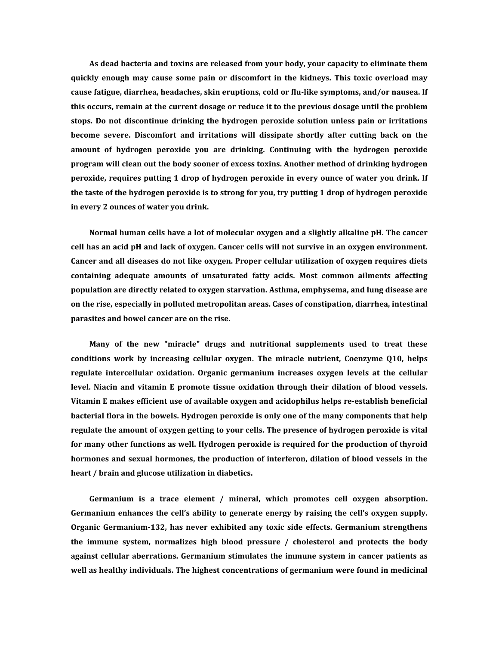**As dead bacteria and toxins are released from your body, your capacity to eliminate them quickly enough may cause some pain or discomfort in the kidneys. This toxic overload may cause fatigue, diarrhea, headaches, skin eruptions, cold or flu-like symptoms, and/or nausea. If this occurs, remain at the current dosage or reduce it to the previous dosage until the problem stops. Do not discontinue drinking the hydrogen peroxide solution unless pain or irritations become severe. Discomfort and irritations will dissipate shortly after cutting back on the amount of hydrogen peroxide you are drinking. Continuing with the hydrogen peroxide program will clean out the body sooner of excess toxins. Another method of drinking hydrogen peroxide, requires putting 1 drop of hydrogen peroxide in every ounce of water you drink. If the taste of the hydrogen peroxide is to strong for you, try putting 1 drop of hydrogen peroxide in every 2 ounces of water you drink.** 

**Normal human cells have a lot of molecular oxygen and a slightly alkaline pH. The cancer cell has an acid pH and lack of oxygen. Cancer cells will not survive in an oxygen environment. Cancer and all diseases do not like oxygen. Proper cellular utilization of oxygen requires diets containing adequate amounts of unsaturated fatty acids. Most common ailments affecting population are directly related to oxygen starvation. Asthma, emphysema, and lung disease are on the rise, especially in polluted metropolitan areas. Cases of constipation, diarrhea, intestinal parasites and bowel cancer are on the rise.** 

**Many of the new "miracle" drugs and nutritional supplements used to treat these conditions work by increasing cellular oxygen. The miracle nutrient, Coenzyme Q10, helps regulate intercellular oxidation. Organic germanium increases oxygen levels at the cellular level. Niacin and vitamin E promote tissue oxidation through their dilation of blood vessels. Vitamin E makes efficient use of available oxygen and acidophilus helps re-establish beneficial bacterial flora in the bowels. Hydrogen peroxide is only one of the many components that help regulate the amount of oxygen getting to your cells. The presence of hydrogen peroxide is vital for many other functions as well. Hydrogen peroxide is required for the production of thyroid hormones and sexual hormones, the production of interferon, dilation of blood vessels in the heart / brain and glucose utilization in diabetics.** 

**Germanium is a trace element / mineral, which promotes cell oxygen absorption. Germanium enhances the cell's ability to generate energy by raising the cell's oxygen supply. Organic Germanium-132, has never exhibited any toxic side effects. Germanium strengthens the immune system, normalizes high blood pressure / cholesterol and protects the body against cellular aberrations. Germanium stimulates the immune system in cancer patients as well as healthy individuals. The highest concentrations of germanium were found in medicinal**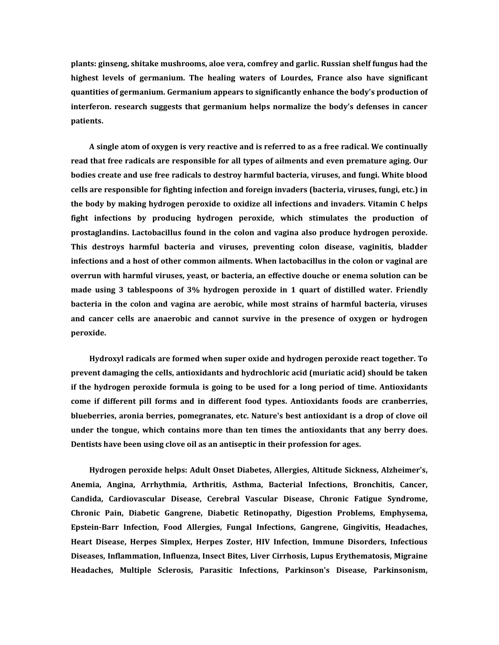**plants: ginseng, shitake mushrooms, aloe vera, comfrey and garlic. Russian shelf fungus had the highest levels of germanium. The healing waters of Lourdes, France also have significant quantities of germanium. Germanium appears to significantly enhance the body's production of interferon. research suggests that germanium helps normalize the body's defenses in cancer patients.** 

**A single atom of oxygen is very reactive and is referred to as a free radical. We continually read that free radicals are responsible for all types of ailments and even premature aging. Our bodies create and use free radicals to destroy harmful bacteria, viruses, and fungi. White blood cells are responsible for fighting infection and foreign invaders (bacteria, viruses, fungi, etc.) in the body by making hydrogen peroxide to oxidize all infections and invaders. Vitamin C helps fight infections by producing hydrogen peroxide, which stimulates the production of prostaglandins. Lactobacillus found in the colon and vagina also produce hydrogen peroxide. This destroys harmful bacteria and viruses, preventing colon disease, vaginitis, bladder infections and a host of other common ailments. When lactobacillus in the colon or vaginal are overrun with harmful viruses, yeast, or bacteria, an effective douche or enema solution can be made using 3 tablespoons of 3% hydrogen peroxide in 1 quart of distilled water. Friendly bacteria in the colon and vagina are aerobic, while most strains of harmful bacteria, viruses and cancer cells are anaerobic and cannot survive in the presence of oxygen or hydrogen peroxide.** 

**Hydroxyl radicals are formed when super oxide and hydrogen peroxide react together. To prevent damaging the cells, antioxidants and hydrochloric acid (muriatic acid) should be taken if the hydrogen peroxide formula is going to be used for a long period of time. Antioxidants come if different pill forms and in different food types. Antioxidants foods are cranberries, blueberries, aronia berries, pomegranates, etc. Nature's best antioxidant is a drop of clove oil under the tongue, which contains more than ten times the antioxidants that any berry does. Dentists have been using clove oil as an antiseptic in their profession for ages.** 

**Hydrogen peroxide helps: Adult Onset Diabetes, Allergies, Altitude Sickness, Alzheimer's, Anemia, Angina, Arrhythmia, Arthritis, Asthma, Bacterial Infections, Bronchitis, Cancer, Candida, Cardiovascular Disease, Cerebral Vascular Disease, Chronic Fatigue Syndrome, Chronic Pain, Diabetic Gangrene, Diabetic Retinopathy, Digestion Problems, Emphysema, Epstein-Barr Infection, Food Allergies, Fungal Infections, Gangrene, Gingivitis, Headaches, Heart Disease, Herpes Simplex, Herpes Zoster, HIV Infection, Immune Disorders, Infectious Diseases, Inflammation, Influenza, Insect Bites, Liver Cirrhosis, Lupus Erythematosis, Migraine Headaches, Multiple Sclerosis, Parasitic Infections, Parkinson's Disease, Parkinsonism,**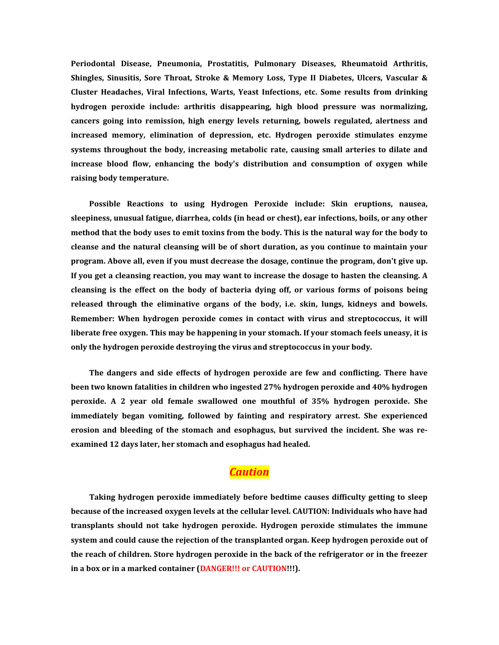**Periodontal Disease, Pneumonia, Prostatitis, Pulmonary Diseases, Rheumatoid Arthritis, Shingles, Sinusitis, Sore Throat, Stroke & Memory Loss, Type II Diabetes, Ulcers, Vascular & Cluster Headaches, Viral Infections, Warts, Yeast Infections, etc. Some results from drinking hydrogen peroxide include: arthritis disappearing, high blood pressure was normalizing, cancers going into remission, high energy levels returning, bowels regulated, alertness and increased memory, elimination of depression, etc. Hydrogen peroxide stimulates enzyme systems throughout the body, increasing metabolic rate, causing small arteries to dilate and increase blood flow, enhancing the body's distribution and consumption of oxygen while raising body temperature.** 

**Possible Reactions to using Hydrogen Peroxide include: Skin eruptions, nausea, sleepiness, unusual fatigue, diarrhea, colds (in head or chest), ear infections, boils, or any other method that the body uses to emit toxins from the body. This is the natural way for the body to cleanse and the natural cleansing will be of short duration, as you continue to maintain your program. Above all, even if you must decrease the dosage, continue the program, don't give up. If you get a cleansing reaction, you may want to increase the dosage to hasten the cleansing. A cleansing is the effect on the body of bacteria dying off, or various forms of poisons being released through the eliminative organs of the body, i.e. skin, lungs, kidneys and bowels. Remember: When hydrogen peroxide comes in contact with virus and streptococcus, it will liberate free oxygen. This may be happening in your stomach. If your stomach feels uneasy, it is only the hydrogen peroxide destroying the virus and streptococcus in your body.** 

**The dangers and side effects of hydrogen peroxide are few and conflicting. There have been two known fatalities in children who ingested 27% hydrogen peroxide and 40% hydrogen peroxide. A 2 year old female swallowed one mouthful of 35% hydrogen peroxide. She immediately began vomiting, followed by fainting and respiratory arrest. She experienced erosion and bleeding of the stomach and esophagus, but survived the incident. She was reexamined 12 days later, her stomach and esophagus had healed.** 

# *Caution*

**Taking hydrogen peroxide immediately before bedtime causes difficulty getting to sleep because of the increased oxygen levels at the cellular level. CAUTION: Individuals who have had transplants should not take hydrogen peroxide. Hydrogen peroxide stimulates the immune system and could cause the rejection of the transplanted organ. Keep hydrogen peroxide out of the reach of children. Store hydrogen peroxide in the back of the refrigerator or in the freezer in a box or in a marked container (DANGER!!! or CAUTION!!!).**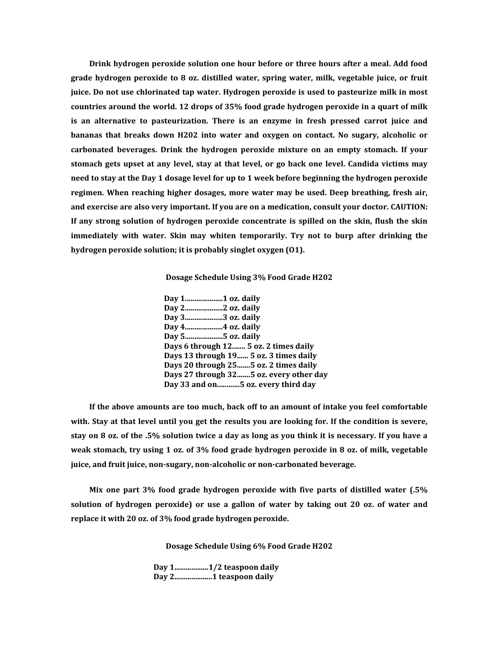**Drink hydrogen peroxide solution one hour before or three hours after a meal. Add food grade hydrogen peroxide to 8 oz. distilled water, spring water, milk, vegetable juice, or fruit juice. Do not use chlorinated tap water. Hydrogen peroxide is used to pasteurize milk in most countries around the world. 12 drops of 35% food grade hydrogen peroxide in a quart of milk is an alternative to pasteurization. There is an enzyme in fresh pressed carrot juice and bananas that breaks down H202 into water and oxygen on contact. No sugary, alcoholic or carbonated beverages. Drink the hydrogen peroxide mixture on an empty stomach. If your stomach gets upset at any level, stay at that level, or go back one level. Candida victims may need to stay at the Day 1 dosage level for up to 1 week before beginning the hydrogen peroxide regimen. When reaching higher dosages, more water may be used. Deep breathing, fresh air, and exercise are also very important. If you are on a medication, consult your doctor. CAUTION: If any strong solution of hydrogen peroxide concentrate is spilled on the skin, flush the skin immediately with water. Skin may whiten temporarily. Try not to burp after drinking the hydrogen peroxide solution; it is probably singlet oxygen (O1).** 

**[Dosage Schedule Using 3% Food Grade H202](http://drinkh2o2.com/#3-percent-H<tt>2</tt>O<tt>2-dosage-schedule)**

**Day 1....................1 oz. daily Day 2....................2 oz. daily Day 3....................3 oz. daily Day 4....................4 oz. daily Day 5....................5 oz. daily Days 6 through 12....... 5 oz. 2 times daily Days 13 through 19...... 5 oz. 3 times daily Days 20 through 25.......5 oz. 2 times daily Days 27 through 32.......5 oz. every other day Day 33 and on............5 oz. every third day**

**If the above amounts are too much, back off to an amount of intake you feel comfortable with. Stay at that level until you get the results you are looking for. If the condition is severe, stay on 8 oz. of the .5% solution twice a day as long as you think it is necessary. If you have a weak stomach, try using 1 oz. of 3% food grade hydrogen peroxide in 8 oz. of milk, vegetable juice, and fruit juice, non-sugary, non-alcoholic or non-carbonated beverage.** 

**Mix one part 3% food grade hydrogen peroxide with five parts of distilled water (.5% solution of hydrogen peroxide) or use a gallon of water by taking out 20 oz. of water and replace it with 20 oz. of 3% food grade hydrogen peroxide.**

**[Dosage Schedule Using 6% Food Grade H202](http://drinkh2o2.com/#6-percent-H<tt>2</tt>O<tt>2-dosage-schedule)**

**Day 1..................1/2 teaspoon daily Day 2....................1 teaspoon daily**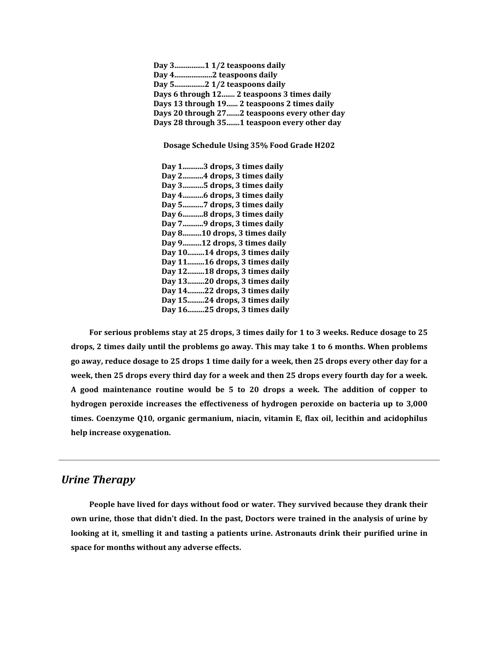**Day 3................1 1/2 teaspoons daily Day 4....................2 teaspoons daily Day 5................2 1/2 teaspoons daily Days 6 through 12....... 2 teaspoons 3 times daily Days 13 through 19...... 2 teaspoons 2 times daily Days 20 through 27.......2 teaspoons every other day Days 28 through 35.......1 teaspoon every other day**

**[Dosage Schedule Using 35% Food Grade H202](http://drinkh2o2.com/#35-percent-H<tt>2</tt>O<tt>2-dosage-schedule)**

**Day 1...........3 drops, 3 times daily Day 2...........4 drops, 3 times daily Day 3...........5 drops, 3 times daily Day 4...........6 drops, 3 times daily Day 5...........7 drops, 3 times daily Day 6...........8 drops, 3 times daily Day 7...........9 drops, 3 times daily Day 8..........10 drops, 3 times daily Day 9..........12 drops, 3 times daily Day 10.........14 drops, 3 times daily Day 11.........16 drops, 3 times daily Day 12.........18 drops, 3 times daily Day 13.........20 drops, 3 times daily Day 14.........22 drops, 3 times daily Day 15.........24 drops, 3 times daily Day 16.........25 drops, 3 times daily**

**For serious problems stay at 25 drops, 3 times daily for 1 to 3 weeks. Reduce dosage to 25 drops, 2 times daily until the problems go away. This may take 1 to 6 months. When problems go away, reduce dosage to 25 drops 1 time daily for a week, then 25 drops every other day for a week, then 25 drops every third day for a week and then 25 drops every fourth day for a week. A good maintenance routine would be 5 to 20 drops a week. The addition of copper to hydrogen peroxide increases the effectiveness of hydrogen peroxide on bacteria up to 3,000 times. Coenzyme Q10, organic germanium, niacin, vitamin E, flax oil, lecithin and acidophilus help increase oxygenation.** 

#### *[Urine Therapy](http://drinkh2o2.com/#urine-therapy)*

**People have lived for days without food or water. They survived because they drank their own urine, those that didn't died. In the past, Doctors were trained in the analysis of urine by looking at it, smelling it and tasting a patients urine. Astronauts drink their purified urine in space for months without any adverse effects.**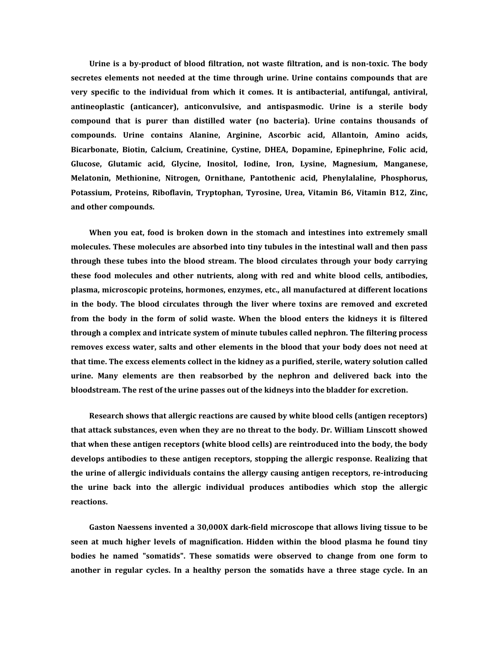**Urine is a by-product of blood filtration, not waste filtration, and is non-toxic. The body secretes elements not needed at the time through urine. Urine contains compounds that are very specific to the individual from which it comes. It is antibacterial, antifungal, antiviral, antineoplastic (anticancer), anticonvulsive, and antispasmodic. Urine is a sterile body compound that is purer than distilled water (no bacteria). Urine contains thousands of compounds. Urine contains Alanine, Arginine, Ascorbic acid, Allantoin, Amino acids, Bicarbonate, Biotin, Calcium, Creatinine, Cystine, DHEA, Dopamine, Epinephrine, Folic acid, Glucose, Glutamic acid, Glycine, Inositol, Iodine, Iron, Lysine, Magnesium, Manganese, Melatonin, Methionine, Nitrogen, Ornithane, Pantothenic acid, Phenylalaline, Phosphorus, Potassium, Proteins, Riboflavin, Tryptophan, Tyrosine, Urea, Vitamin B6, Vitamin B12, Zinc, and other compounds.** 

**When you eat, food is broken down in the stomach and intestines into extremely small molecules. These molecules are absorbed into tiny tubules in the intestinal wall and then pass through these tubes into the blood stream. The blood circulates through your body carrying these food molecules and other nutrients, along with red and white blood cells, antibodies, plasma, microscopic proteins, hormones, enzymes, etc., all manufactured at different locations in the body. The blood circulates through the liver where toxins are removed and excreted from the body in the form of solid waste. When the blood enters the kidneys it is filtered through a complex and intricate system of minute tubules called nephron. The filtering process removes excess water, salts and other elements in the blood that your body does not need at that time. The excess elements collect in the kidney as a purified, sterile, watery solution called urine. Many elements are then reabsorbed by the nephron and delivered back into the bloodstream. The rest of the urine passes out of the kidneys into the bladder for excretion.** 

**Research shows that allergic reactions are caused by white blood cells (antigen receptors) that attack substances, even when they are no threat to the body. Dr. William Linscott showed that when these antigen receptors (white blood cells) are reintroduced into the body, the body develops antibodies to these antigen receptors, stopping the allergic response. Realizing that the urine of allergic individuals contains the allergy causing antigen receptors, re-introducing the urine back into the allergic individual produces antibodies which stop the allergic reactions.** 

**Gaston Naessens invented a 30,000X dark-field microscope that allows living tissue to be seen at much higher levels of magnification. Hidden within the blood plasma he found tiny bodies he named "somatids". These somatids were observed to change from one form to another in regular cycles. In a healthy person the somatids have a three stage cycle. In an**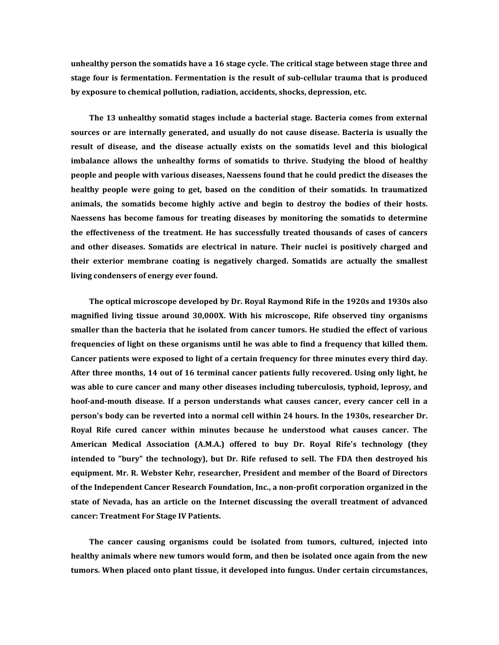**unhealthy person the somatids have a 16 stage cycle. The critical stage between stage three and stage four is fermentation. Fermentation is the result of sub-cellular trauma that is produced by exposure to chemical pollution, radiation, accidents, shocks, depression, etc.** 

**The 13 unhealthy somatid stages include a bacterial stage. Bacteria comes from external sources or are internally generated, and usually do not cause disease. Bacteria is usually the result of disease, and the disease actually exists on the somatids level and this biological imbalance allows the unhealthy forms of somatids to thrive. Studying the blood of healthy people and people with various diseases, Naessens found that he could predict the diseases the healthy people were going to get, based on the condition of their somatids. In traumatized animals, the somatids become highly active and begin to destroy the bodies of their hosts. Naessens has become famous for treating diseases by monitoring the somatids to determine the effectiveness of the treatment. He has successfully treated thousands of cases of cancers and other diseases. Somatids are electrical in nature. Their nuclei is positively charged and their exterior membrane coating is negatively charged. Somatids are actually the smallest living condensers of energy ever found.** 

**The optical microscope developed by Dr. Royal Raymond Rife in the 1920s and 1930s also magnified living tissue around 30,000X. With his microscope, Rife observed tiny organisms smaller than the bacteria that he isolated from cancer tumors. He studied the effect of various frequencies of light on these organisms until he was able to find a frequency that killed them. Cancer patients were exposed to light of a certain frequency for three minutes every third day. After three months, 14 out of 16 terminal cancer patients fully recovered. Using only light, he was able to cure cancer and many other diseases including tuberculosis, typhoid, leprosy, and hoof-and-mouth disease. If a person understands what causes cancer, every cancer cell in a person's body can be reverted into a normal cell within 24 hours. In the 1930s, researcher Dr. Royal Rife cured cancer within minutes because he understood what causes cancer. The American Medical Association (A.M.A.) offered to buy Dr. Royal Rife's technology (they intended to "bury" the technology), but Dr. Rife refused to sell. The FDA then destroyed his equipment. Mr. R. Webster Kehr, researcher, President and member of the Board of Directors of the Independent Cancer Research Foundation, Inc., a non-profit corporation organized in the state of Nevada, has an article on the Internet discussing the overall treatment of advanced cancer[: Treatment For Stage IV Patients.](http://www.cancertutor.com/Other02/CheckFast.html)** 

**The cancer causing organisms could be isolated from tumors, cultured, injected into healthy animals where new tumors would form, and then be isolated once again from the new tumors. When placed onto plant tissue, it developed into fungus. Under certain circumstances,**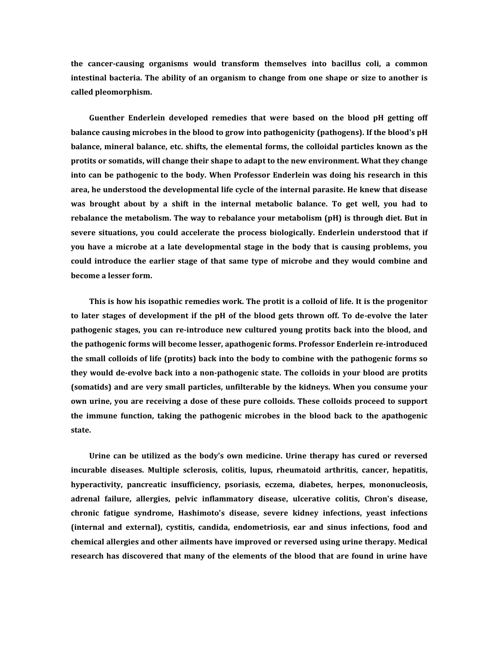**the cancer-causing organisms would transform themselves into bacillus coli, a common intestinal bacteria. The ability of an organism to change from one shape or size to another is called pleomorphism.** 

**Guenther Enderlein developed remedies that were based on the blood pH getting off balance causing microbes in the blood to grow into pathogenicity (pathogens). If the blood's pH balance, mineral balance, etc. shifts, the elemental forms, the colloidal particles known as the protits or somatids, will change their shape to adapt to the new environment. What they change into can be pathogenic to the body. When Professor Enderlein was doing his research in this area, he understood the developmental life cycle of the internal parasite. He knew that disease was brought about by a shift in the internal metabolic balance. To get well, you had to rebalance the metabolism. The way to rebalance your metabolism (pH) is through diet. But in severe situations, you could accelerate the process biologically. Enderlein understood that if you have a microbe at a late developmental stage in the body that is causing problems, you could introduce the earlier stage of that same type of microbe and they would combine and become a lesser form.** 

**This is how his isopathic remedies work. The protit is a colloid of life. It is the progenitor to later stages of development if the pH of the blood gets thrown off. To de-evolve the later pathogenic stages, you can re-introduce new cultured young protits back into the blood, and the pathogenic forms will become lesser, apathogenic forms. Professor Enderlein re-introduced the small colloids of life (protits) back into the body to combine with the pathogenic forms so they would de-evolve back into a non-pathogenic state. The colloids in your blood are protits (somatids) and are very small particles, unfilterable by the kidneys. When you consume your own urine, you are receiving a dose of these pure colloids. These colloids proceed to support the immune function, taking the pathogenic microbes in the blood back to the apathogenic state.** 

**Urine can be utilized as the body's own medicine. Urine therapy has cured or reversed incurable diseases. Multiple sclerosis, colitis, lupus, rheumatoid arthritis, cancer, hepatitis, hyperactivity, pancreatic insufficiency, psoriasis, eczema, diabetes, herpes, mononucleosis, adrenal failure, allergies, pelvic inflammatory disease, ulcerative colitis, Chron's disease, chronic fatigue syndrome, Hashimoto's disease, severe kidney infections, yeast infections (internal and external), cystitis, candida, endometriosis, ear and sinus infections, food and chemical allergies and other ailments have improved or reversed using urine therapy. Medical research has discovered that many of the elements of the blood that are found in urine have**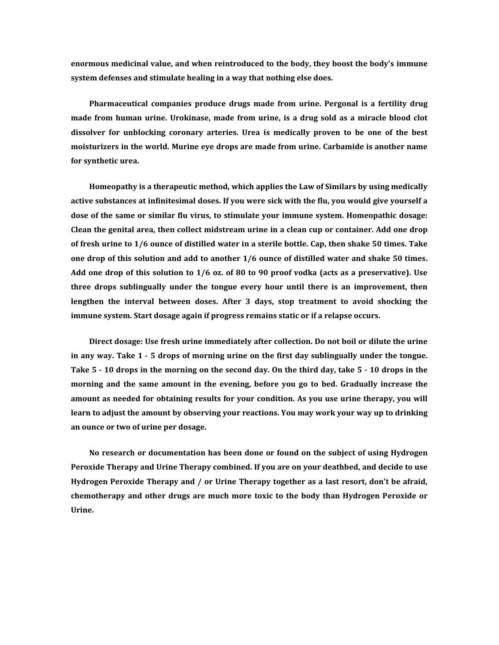**enormous medicinal value, and when reintroduced to the body, they boost the body's immune system defenses and stimulate healing in a way that nothing else does.** 

**Pharmaceutical companies produce drugs made from urine. Pergonal is a fertility drug made from human urine. Urokinase, made from urine, is a drug sold as a miracle blood clot dissolver for unblocking coronary arteries. Urea is medically proven to be one of the best moisturizers in the world. Murine eye drops are made from urine. Carbamide is another name for synthetic urea.** 

**Homeopathy is a therapeutic method, which applies the Law of Similars by using medically active substances at infinitesimal doses. If you were sick with the flu, you would give yourself a dose of the same or similar flu virus, to stimulate your immune system. Homeopathic dosage: Clean the genital area, then collect midstream urine in a clean cup or container. Add one drop of fresh urine to 1/6 ounce of distilled water in a sterile bottle. Cap, then shake 50 times. Take one drop of this solution and add to another 1/6 ounce of distilled water and shake 50 times. Add one drop of this solution to 1/6 oz. of 80 to 90 proof vodka (acts as a preservative). Use three drops sublingually under the tongue every hour until there is an improvement, then lengthen the interval between doses. After 3 days, stop treatment to avoid shocking the immune system. Start dosage again if progress remains static or if a relapse occurs.** 

**Direct dosage: Use fresh urine immediately after collection. Do not boil or dilute the urine in any way. Take 1 - 5 drops of morning urine on the first day sublingually under the tongue. Take 5 - 10 drops in the morning on the second day. On the third day, take 5 - 10 drops in the morning and the same amount in the evening, before you go to bed. Gradually increase the amount as needed for obtaining results for your condition. As you use urine therapy, you will learn to adjust the amount by observing your reactions. You may work your way up to drinking an ounce or two of urine per dosage.** 

**No research or documentation has been done or found on the subject of using Hydrogen Peroxide Therapy and Urine Therapy combined. If you are on your deathbed, and decide to use Hydrogen Peroxide Therapy and / or Urine Therapy together as a last resort, don't be afraid, chemotherapy and other drugs are much more toxic to the body than Hydrogen Peroxide or Urine.**